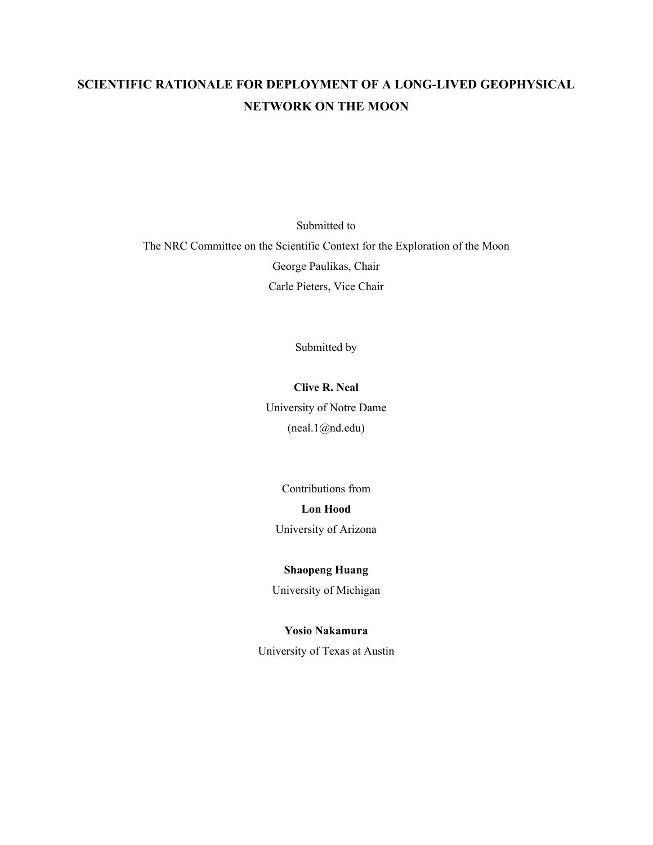# SCIENTIFIC RATIONALE FOR DEPLOYMENT OF A LONG-LIVED GEOPHYSICAL NETWORK ON THE MOON

Submitted to The NRC Committee on the Scientific Context for the Exploration of the Moon George Paulikas, Chair Carle Pieters, Vice Chair

Submitted by

# Clive R. Neal

University of Notre Dame (neal.1@nd.edu)

Contributions from Lon Hood University of Arizona

# Shaopeng Huang

University of Michigan

## Yosio Nakamura

University of Texas at Austin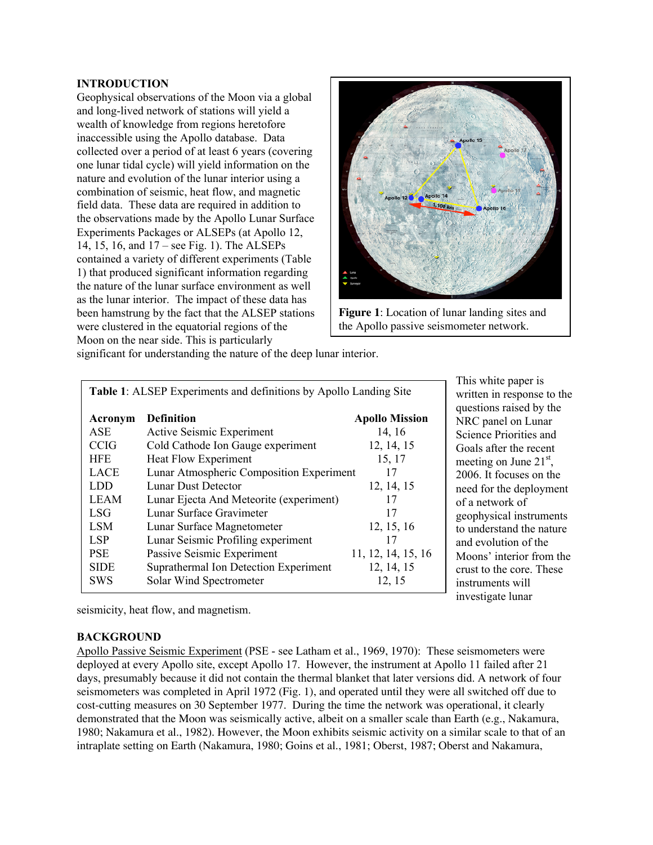# INTRODUCTION

Geophysical observations of the Moon via a global and long-lived network of stations will yield a wealth of knowledge from regions heretofore inaccessible using the Apollo database. Data collected over a period of at least 6 years (covering one lunar tidal cycle) will yield information on the nature and evolution of the lunar interior using a combination of seismic, heat flow, and magnetic field data. These data are required in addition to the observations made by the Apollo Lunar Surface Experiments Packages or ALSEPs (at Apollo 12, 14, 15, 16, and 17 – see Fig. 1). The ALSEPs contained a variety of different experiments (Table 1) that produced significant information regarding the nature of the lunar surface environment as well as the lunar interior. The impact of these data has been hamstrung by the fact that the ALSEP stations were clustered in the equatorial regions of the Moon on the near side. This is particularly



**Figure 1**: Location of lunar landing sites and the Apollo passive seismometer network.

|  |  | significant for understanding the nature of the deep lunar interior. |  |
|--|--|----------------------------------------------------------------------|--|
|--|--|----------------------------------------------------------------------|--|

| Table 1: ALSEP Experiments and definitions by Apollo Landing Site |                                          |                       |  |  |
|-------------------------------------------------------------------|------------------------------------------|-----------------------|--|--|
| Acronym                                                           | <b>Definition</b>                        | <b>Apollo Mission</b> |  |  |
| <b>ASE</b>                                                        | Active Seismic Experiment                | 14, 16                |  |  |
| <b>CCIG</b>                                                       | Cold Cathode Ion Gauge experiment        | 12, 14, 15            |  |  |
| <b>HFE</b>                                                        | <b>Heat Flow Experiment</b>              | 15, 17                |  |  |
| <b>LACE</b>                                                       | Lunar Atmospheric Composition Experiment | 17                    |  |  |
| LDD                                                               | Lunar Dust Detector                      | 12, 14, 15            |  |  |
| <b>LEAM</b>                                                       | Lunar Ejecta And Meteorite (experiment)  | 17                    |  |  |
| <b>LSG</b>                                                        | Lunar Surface Gravimeter                 | 17                    |  |  |
| <b>LSM</b>                                                        | Lunar Surface Magnetometer               | 12, 15, 16            |  |  |
| LSP                                                               | Lunar Seismic Profiling experiment       | 17                    |  |  |
| <b>PSE</b>                                                        | Passive Seismic Experiment               | 11, 12, 14, 15, 16    |  |  |
| <b>SIDE</b>                                                       | Suprathermal Ion Detection Experiment    | 12, 14, 15            |  |  |
| <b>SWS</b>                                                        | Solar Wind Spectrometer                  | 12, 15                |  |  |

This white paper is written in response to the questions raised by the NRC panel on Lunar Science Priorities and Goals after the recent meeting on June  $21<sup>st</sup>$ , 2006. It focuses on the need for the deployment of a network of geophysical instruments to understand the nature and evolution of the Moons' interior from the crust to the core. These instruments will investigate lunar

seismicity, heat flow, and magnetism.

## **BACKGROUND**

Apollo Passive Seismic Experiment (PSE - see Latham et al., 1969, 1970): These seismometers were deployed at every Apollo site, except Apollo 17. However, the instrument at Apollo 11 failed after 21 days, presumably because it did not contain the thermal blanket that later versions did. A network of four seismometers was completed in April 1972 (Fig. 1), and operated until they were all switched off due to cost-cutting measures on 30 September 1977. During the time the network was operational, it clearly demonstrated that the Moon was seismically active, albeit on a smaller scale than Earth (e.g., Nakamura, 1980; Nakamura et al., 1982). However, the Moon exhibits seismic activity on a similar scale to that of an intraplate setting on Earth (Nakamura, 1980; Goins et al., 1981; Oberst, 1987; Oberst and Nakamura,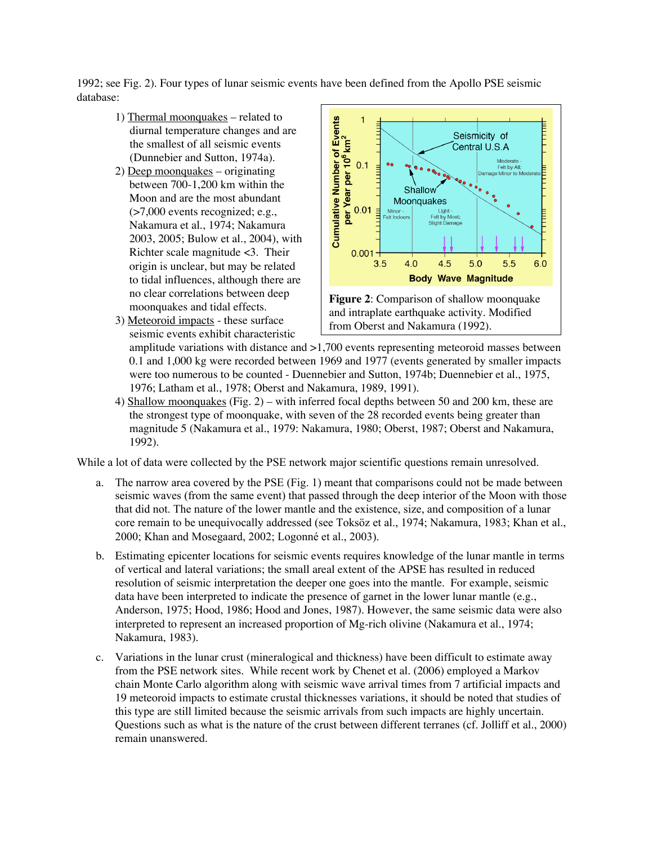1992; see Fig. 2). Four types of lunar seismic events have been defined from the Apollo PSE seismic database:

- 1) Thermal moonquakes related to diurnal temperature changes and are the smallest of all seismic events (Dunnebier and Sutton, 1974a).
- 2) Deep moonquakes originating between 700-1,200 km within the Moon and are the most abundant (>7,000 events recognized; e.g., Nakamura et al., 1974; Nakamura 2003, 2005; Bulow et al., 2004), with Richter scale magnitude <3. Their origin is unclear, but may be related to tidal influences, although there are no clear correlations between deep moonquakes and tidal effects.
- 3) Meteoroid impacts these surface seismic events exhibit characteristic



**Figure 2**: Comparison of shallow moonquake and intraplate earthquake activity. Modified from Oberst and Nakamura (1992).

amplitude variations with distance and >1,700 events representing meteoroid masses between 0.1 and 1,000 kg were recorded between 1969 and 1977 (events generated by smaller impacts were too numerous to be counted - Duennebier and Sutton, 1974b; Duennebier et al., 1975, 1976; Latham et al., 1978; Oberst and Nakamura, 1989, 1991).

4) Shallow moonquakes (Fig. 2) – with inferred focal depths between 50 and 200 km, these are the strongest type of moonquake, with seven of the 28 recorded events being greater than magnitude 5 (Nakamura et al., 1979: Nakamura, 1980; Oberst, 1987; Oberst and Nakamura, 1992).

While a lot of data were collected by the PSE network major scientific questions remain unresolved.

- a. The narrow area covered by the PSE (Fig. 1) meant that comparisons could not be made between seismic waves (from the same event) that passed through the deep interior of the Moon with those that did not. The nature of the lower mantle and the existence, size, and composition of a lunar core remain to be unequivocally addressed (see Toksöz et al., 1974; Nakamura, 1983; Khan et al., 2000; Khan and Mosegaard, 2002; Logonné et al., 2003).
- b. Estimating epicenter locations for seismic events requires knowledge of the lunar mantle in terms of vertical and lateral variations; the small areal extent of the APSE has resulted in reduced resolution of seismic interpretation the deeper one goes into the mantle. For example, seismic data have been interpreted to indicate the presence of garnet in the lower lunar mantle (e.g., Anderson, 1975; Hood, 1986; Hood and Jones, 1987). However, the same seismic data were also interpreted to represent an increased proportion of Mg-rich olivine (Nakamura et al., 1974; Nakamura, 1983).
- c. Variations in the lunar crust (mineralogical and thickness) have been difficult to estimate away from the PSE network sites. While recent work by Chenet et al. (2006) employed a Markov chain Monte Carlo algorithm along with seismic wave arrival times from 7 artificial impacts and 19 meteoroid impacts to estimate crustal thicknesses variations, it should be noted that studies of this type are still limited because the seismic arrivals from such impacts are highly uncertain. Questions such as what is the nature of the crust between different terranes (cf. Jolliff et al., 2000) remain unanswered.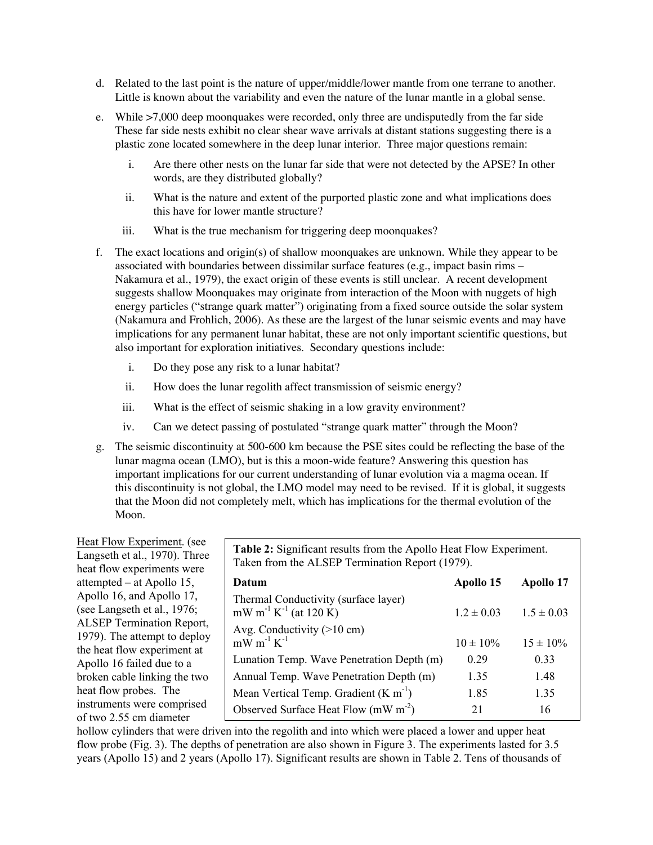- d. Related to the last point is the nature of upper/middle/lower mantle from one terrane to another. Little is known about the variability and even the nature of the lunar mantle in a global sense.
- e. While >7,000 deep moonquakes were recorded, only three are undisputedly from the far side These far side nests exhibit no clear shear wave arrivals at distant stations suggesting there is a plastic zone located somewhere in the deep lunar interior. Three major questions remain:
	- i. Are there other nests on the lunar far side that were not detected by the APSE? In other words, are they distributed globally?
	- ii. What is the nature and extent of the purported plastic zone and what implications does this have for lower mantle structure?
	- iii. What is the true mechanism for triggering deep moonquakes?
- f. The exact locations and origin(s) of shallow moonquakes are unknown. While they appear to be associated with boundaries between dissimilar surface features (e.g., impact basin rims – Nakamura et al., 1979), the exact origin of these events is still unclear. A recent development suggests shallow Moonquakes may originate from interaction of the Moon with nuggets of high energy particles ("strange quark matter") originating from a fixed source outside the solar system (Nakamura and Frohlich, 2006). As these are the largest of the lunar seismic events and may have implications for any permanent lunar habitat, these are not only important scientific questions, but also important for exploration initiatives. Secondary questions include:
	- i. Do they pose any risk to a lunar habitat?
	- ii. How does the lunar regolith affect transmission of seismic energy?
	- iii. What is the effect of seismic shaking in a low gravity environment?
	- iv. Can we detect passing of postulated "strange quark matter" through the Moon?
- g. The seismic discontinuity at 500-600 km because the PSE sites could be reflecting the base of the lunar magma ocean (LMO), but is this a moon-wide feature? Answering this question has important implications for our current understanding of lunar evolution via a magma ocean. If this discontinuity is not global, the LMO model may need to be revised. If it is global, it suggests that the Moon did not completely melt, which has implications for the thermal evolution of the Moon.

Heat Flow Experiment. (see Langseth et al., 1970). Three heat flow experiments were attempted – at Apollo 15, Apollo 16, and Apollo 17, (see Langseth et al., 1976; ALSEP Termination Report, 1979). The attempt to deploy the heat flow experiment at Apollo 16 failed due to a broken cable linking the two heat flow probes. The instruments were comprised of two 2.55 cm diameter

Table 2: Significant results from the Apollo Heat Flow Experiment. Taken from the ALSEP Termination Report (1979).

| Datum                                                                                 | Apollo 15      | Apollo 17      |
|---------------------------------------------------------------------------------------|----------------|----------------|
| Thermal Conductivity (surface layer)<br>mW m <sup>-1</sup> K <sup>-1</sup> (at 120 K) | $1.2 \pm 0.03$ | $1.5 \pm 0.03$ |
| Avg. Conductivity $(>10 \text{ cm})$<br>$mW m^{-1} K^{-1}$                            | $10 \pm 10\%$  | $15 \pm 10\%$  |
| Lunation Temp. Wave Penetration Depth (m)                                             | 0.29           | 0.33           |
| Annual Temp. Wave Penetration Depth (m)                                               | 1.35           | 1.48           |
| Mean Vertical Temp. Gradient $(K m^{-1})$                                             | 1.85           | 1.35           |
| Observed Surface Heat Flow (mW $m-2$ )                                                | 21             | 16             |

hollow cylinders that were driven into the regolith and into which were placed a lower and upper heat flow probe (Fig. 3). The depths of penetration are also shown in Figure 3. The experiments lasted for 3.5 years (Apollo 15) and 2 years (Apollo 17). Significant results are shown in Table 2. Tens of thousands of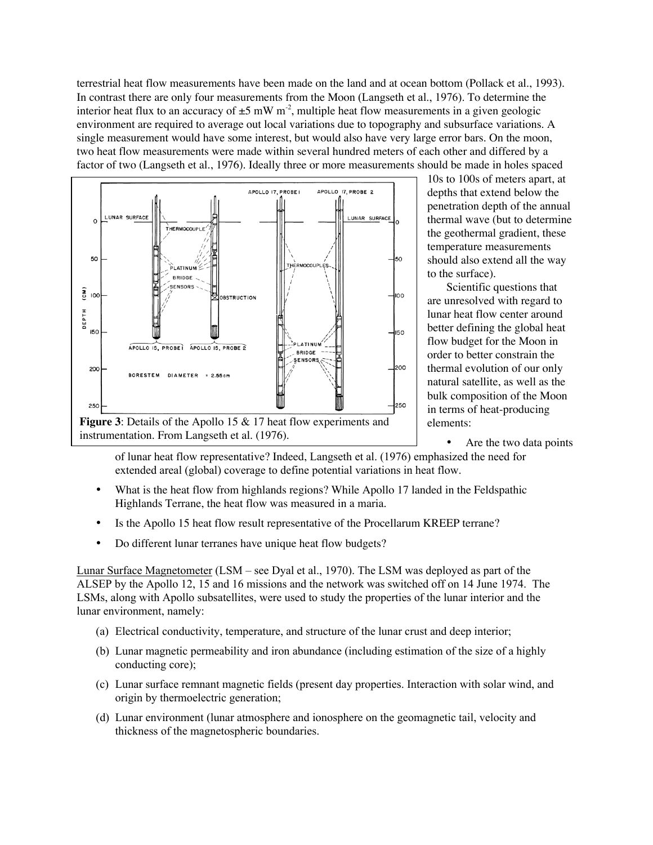terrestrial heat flow measurements have been made on the land and at ocean bottom (Pollack et al., 1993). In contrast there are only four measurements from the Moon (Langseth et al., 1976). To determine the interior heat flux to an accuracy of  $\pm 5$  mW m<sup>-2</sup>, multiple heat flow measurements in a given geologic environment are required to average out local variations due to topography and subsurface variations. A single measurement would have some interest, but would also have very large error bars. On the moon, two heat flow measurements were made within several hundred meters of each other and differed by a factor of two (Langseth et al., 1976). Ideally three or more measurements should be made in holes spaced



10s to 100s of meters apart, at depths that extend below the penetration depth of the annual thermal wave (but to determine the geothermal gradient, these temperature measurements should also extend all the way to the surface).

Scientific questions that are unresolved with regard to lunar heat flow center around better defining the global heat flow budget for the Moon in order to better constrain the thermal evolution of our only natural satellite, as well as the bulk composition of the Moon in terms of heat-producing elements:

• Are the two data points

of lunar heat flow representative? Indeed, Langseth et al. (1976) emphasized the need for extended areal (global) coverage to define potential variations in heat flow.

- What is the heat flow from highlands regions? While Apollo 17 landed in the Feldspathic Highlands Terrane, the heat flow was measured in a maria.
- Is the Apollo 15 heat flow result representative of the Procellarum KREEP terrane?
- Do different lunar terranes have unique heat flow budgets?

Lunar Surface Magnetometer (LSM – see Dyal et al., 1970). The LSM was deployed as part of the ALSEP by the Apollo 12, 15 and 16 missions and the network was switched off on 14 June 1974. The LSMs, along with Apollo subsatellites, were used to study the properties of the lunar interior and the lunar environment, namely:

- (a) Electrical conductivity, temperature, and structure of the lunar crust and deep interior;
- (b) Lunar magnetic permeability and iron abundance (including estimation of the size of a highly conducting core);
- (c) Lunar surface remnant magnetic fields (present day properties. Interaction with solar wind, and origin by thermoelectric generation;
- (d) Lunar environment (lunar atmosphere and ionosphere on the geomagnetic tail, velocity and thickness of the magnetospheric boundaries.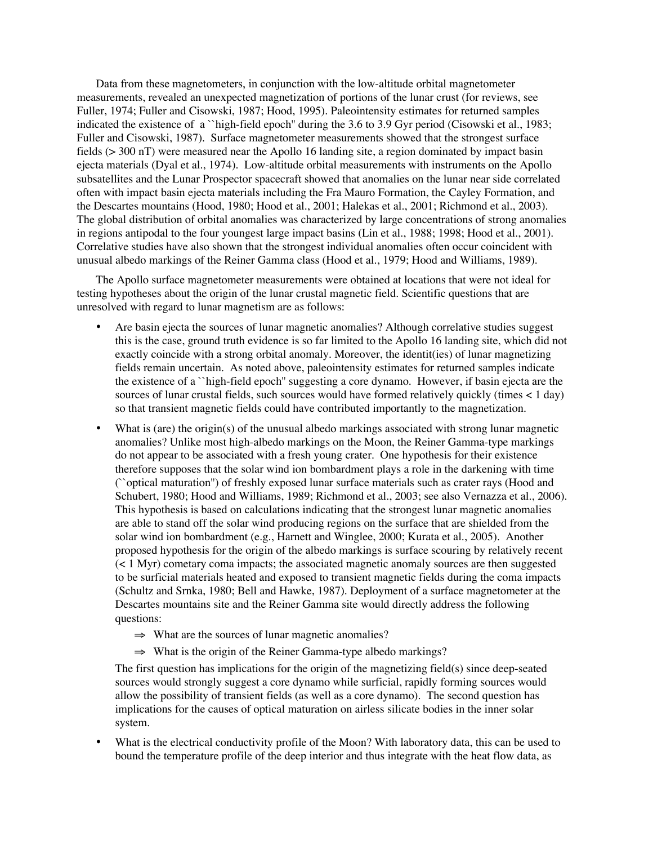Data from these magnetometers, in conjunction with the low-altitude orbital magnetometer measurements, revealed an unexpected magnetization of portions of the lunar crust (for reviews, see Fuller, 1974; Fuller and Cisowski, 1987; Hood, 1995). Paleointensity estimates for returned samples indicated the existence of a ``high-field epoch'' during the 3.6 to 3.9 Gyr period (Cisowski et al., 1983; Fuller and Cisowski, 1987). Surface magnetometer measurements showed that the strongest surface fields (> 300 nT) were measured near the Apollo 16 landing site, a region dominated by impact basin ejecta materials (Dyal et al., 1974). Low-altitude orbital measurements with instruments on the Apollo subsatellites and the Lunar Prospector spacecraft showed that anomalies on the lunar near side correlated often with impact basin ejecta materials including the Fra Mauro Formation, the Cayley Formation, and the Descartes mountains (Hood, 1980; Hood et al., 2001; Halekas et al., 2001; Richmond et al., 2003). The global distribution of orbital anomalies was characterized by large concentrations of strong anomalies in regions antipodal to the four youngest large impact basins (Lin et al., 1988; 1998; Hood et al., 2001). Correlative studies have also shown that the strongest individual anomalies often occur coincident with unusual albedo markings of the Reiner Gamma class (Hood et al., 1979; Hood and Williams, 1989).

The Apollo surface magnetometer measurements were obtained at locations that were not ideal for testing hypotheses about the origin of the lunar crustal magnetic field. Scientific questions that are unresolved with regard to lunar magnetism are as follows:

- Are basin ejecta the sources of lunar magnetic anomalies? Although correlative studies suggest this is the case, ground truth evidence is so far limited to the Apollo 16 landing site, which did not exactly coincide with a strong orbital anomaly. Moreover, the identit(ies) of lunar magnetizing fields remain uncertain. As noted above, paleointensity estimates for returned samples indicate the existence of a ``high-field epoch'' suggesting a core dynamo. However, if basin ejecta are the sources of lunar crustal fields, such sources would have formed relatively quickly (times < 1 day) so that transient magnetic fields could have contributed importantly to the magnetization.
- What is (are) the origin(s) of the unusual albedo markings associated with strong lunar magnetic anomalies? Unlike most high-albedo markings on the Moon, the Reiner Gamma-type markings do not appear to be associated with a fresh young crater. One hypothesis for their existence therefore supposes that the solar wind ion bombardment plays a role in the darkening with time (``optical maturation'') of freshly exposed lunar surface materials such as crater rays (Hood and Schubert, 1980; Hood and Williams, 1989; Richmond et al., 2003; see also Vernazza et al., 2006). This hypothesis is based on calculations indicating that the strongest lunar magnetic anomalies are able to stand off the solar wind producing regions on the surface that are shielded from the solar wind ion bombardment (e.g., Harnett and Winglee, 2000; Kurata et al., 2005). Another proposed hypothesis for the origin of the albedo markings is surface scouring by relatively recent (< 1 Myr) cometary coma impacts; the associated magnetic anomaly sources are then suggested to be surficial materials heated and exposed to transient magnetic fields during the coma impacts (Schultz and Srnka, 1980; Bell and Hawke, 1987). Deployment of a surface magnetometer at the Descartes mountains site and the Reiner Gamma site would directly address the following questions:
	- $\Rightarrow$  What are the sources of lunar magnetic anomalies?
	- ⇒ What is the origin of the Reiner Gamma-type albedo markings?

The first question has implications for the origin of the magnetizing field(s) since deep-seated sources would strongly suggest a core dynamo while surficial, rapidly forming sources would allow the possibility of transient fields (as well as a core dynamo). The second question has implications for the causes of optical maturation on airless silicate bodies in the inner solar system.

What is the electrical conductivity profile of the Moon? With laboratory data, this can be used to bound the temperature profile of the deep interior and thus integrate with the heat flow data, as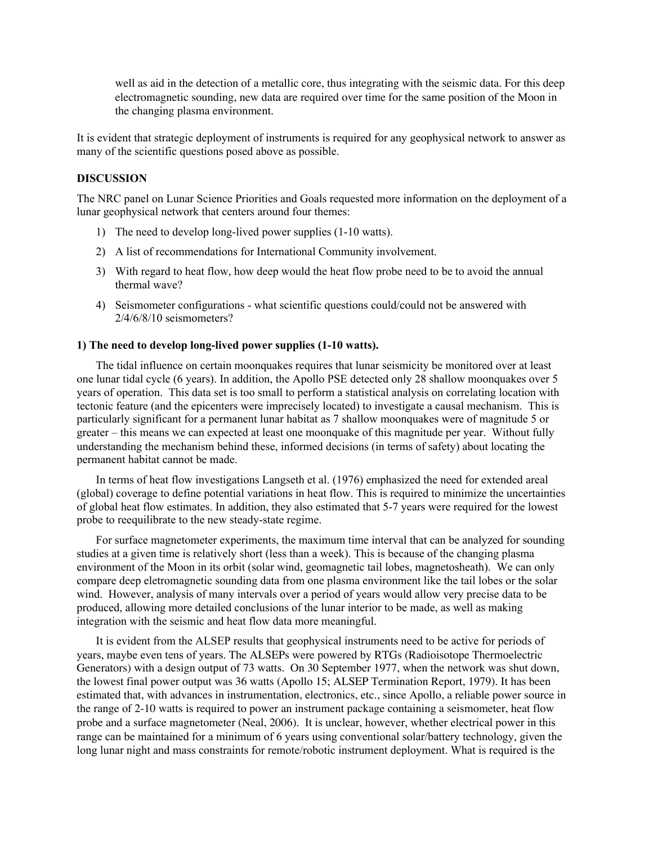well as aid in the detection of a metallic core, thus integrating with the seismic data. For this deep electromagnetic sounding, new data are required over time for the same position of the Moon in the changing plasma environment.

It is evident that strategic deployment of instruments is required for any geophysical network to answer as many of the scientific questions posed above as possible.

## **DISCUSSION**

The NRC panel on Lunar Science Priorities and Goals requested more information on the deployment of a lunar geophysical network that centers around four themes:

- 1) The need to develop long-lived power supplies (1-10 watts).
- 2) A list of recommendations for International Community involvement.
- 3) With regard to heat flow, how deep would the heat flow probe need to be to avoid the annual thermal wave?
- 4) Seismometer configurations what scientific questions could/could not be answered with 2/4/6/8/10 seismometers?

#### 1) The need to develop long-lived power supplies (1-10 watts).

The tidal influence on certain moonquakes requires that lunar seismicity be monitored over at least one lunar tidal cycle (6 years). In addition, the Apollo PSE detected only 28 shallow moonquakes over 5 years of operation. This data set is too small to perform a statistical analysis on correlating location with tectonic feature (and the epicenters were imprecisely located) to investigate a causal mechanism. This is particularly significant for a permanent lunar habitat as 7 shallow moonquakes were of magnitude 5 or greater – this means we can expected at least one moonquake of this magnitude per year. Without fully understanding the mechanism behind these, informed decisions (in terms of safety) about locating the permanent habitat cannot be made.

In terms of heat flow investigations Langseth et al. (1976) emphasized the need for extended areal (global) coverage to define potential variations in heat flow. This is required to minimize the uncertainties of global heat flow estimates. In addition, they also estimated that 5-7 years were required for the lowest probe to reequilibrate to the new steady-state regime.

For surface magnetometer experiments, the maximum time interval that can be analyzed for sounding studies at a given time is relatively short (less than a week). This is because of the changing plasma environment of the Moon in its orbit (solar wind, geomagnetic tail lobes, magnetosheath). We can only compare deep eletromagnetic sounding data from one plasma environment like the tail lobes or the solar wind. However, analysis of many intervals over a period of years would allow very precise data to be produced, allowing more detailed conclusions of the lunar interior to be made, as well as making integration with the seismic and heat flow data more meaningful.

It is evident from the ALSEP results that geophysical instruments need to be active for periods of years, maybe even tens of years. The ALSEPs were powered by RTGs (Radioisotope Thermoelectric Generators) with a design output of 73 watts. On 30 September 1977, when the network was shut down, the lowest final power output was 36 watts (Apollo 15; ALSEP Termination Report, 1979). It has been estimated that, with advances in instrumentation, electronics, etc., since Apollo, a reliable power source in the range of 2-10 watts is required to power an instrument package containing a seismometer, heat flow probe and a surface magnetometer (Neal, 2006). It is unclear, however, whether electrical power in this range can be maintained for a minimum of 6 years using conventional solar/battery technology, given the long lunar night and mass constraints for remote/robotic instrument deployment. What is required is the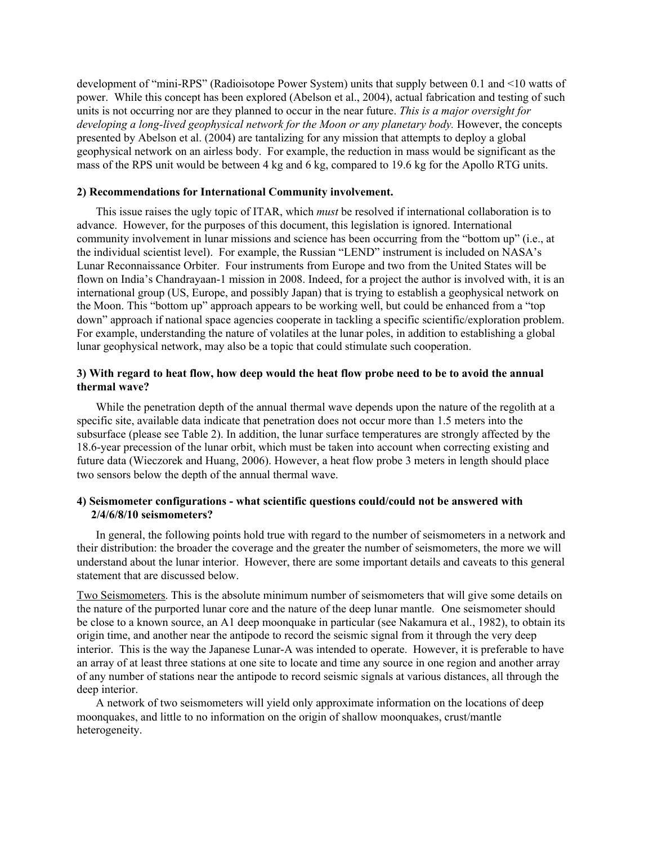development of "mini-RPS" (Radioisotope Power System) units that supply between 0.1 and <10 watts of power. While this concept has been explored (Abelson et al., 2004), actual fabrication and testing of such units is not occurring nor are they planned to occur in the near future. *This is a major oversight for developing a long-lived geophysical network for the Moon or any planetary body.* However, the concepts presented by Abelson et al. (2004) are tantalizing for any mission that attempts to deploy a global geophysical network on an airless body. For example, the reduction in mass would be significant as the mass of the RPS unit would be between 4 kg and 6 kg, compared to 19.6 kg for the Apollo RTG units.

#### 2) Recommendations for International Community involvement.

This issue raises the ugly topic of ITAR, which *must* be resolved if international collaboration is to advance. However, for the purposes of this document, this legislation is ignored. International community involvement in lunar missions and science has been occurring from the "bottom up" (i.e., at the individual scientist level). For example, the Russian "LEND" instrument is included on NASA's Lunar Reconnaissance Orbiter. Four instruments from Europe and two from the United States will be flown on India's Chandrayaan-1 mission in 2008. Indeed, for a project the author is involved with, it is an international group (US, Europe, and possibly Japan) that is trying to establish a geophysical network on the Moon. This "bottom up" approach appears to be working well, but could be enhanced from a "top down" approach if national space agencies cooperate in tackling a specific scientific/exploration problem. For example, understanding the nature of volatiles at the lunar poles, in addition to establishing a global lunar geophysical network, may also be a topic that could stimulate such cooperation.

#### 3) With regard to heat flow, how deep would the heat flow probe need to be to avoid the annual thermal wave?

While the penetration depth of the annual thermal wave depends upon the nature of the regolith at a specific site, available data indicate that penetration does not occur more than 1.5 meters into the subsurface (please see Table 2). In addition, the lunar surface temperatures are strongly affected by the 18.6-year precession of the lunar orbit, which must be taken into account when correcting existing and future data (Wieczorek and Huang, 2006). However, a heat flow probe 3 meters in length should place two sensors below the depth of the annual thermal wave.

## 4) Seismometer configurations - what scientific questions could/could not be answered with 2/4/6/8/10 seismometers?

In general, the following points hold true with regard to the number of seismometers in a network and their distribution: the broader the coverage and the greater the number of seismometers, the more we will understand about the lunar interior. However, there are some important details and caveats to this general statement that are discussed below.

Two Seismometers. This is the absolute minimum number of seismometers that will give some details on the nature of the purported lunar core and the nature of the deep lunar mantle. One seismometer should be close to a known source, an A1 deep moonquake in particular (see Nakamura et al., 1982), to obtain its origin time, and another near the antipode to record the seismic signal from it through the very deep interior. This is the way the Japanese Lunar-A was intended to operate. However, it is preferable to have an array of at least three stations at one site to locate and time any source in one region and another array of any number of stations near the antipode to record seismic signals at various distances, all through the deep interior.

A network of two seismometers will yield only approximate information on the locations of deep moonquakes, and little to no information on the origin of shallow moonquakes, crust/mantle heterogeneity.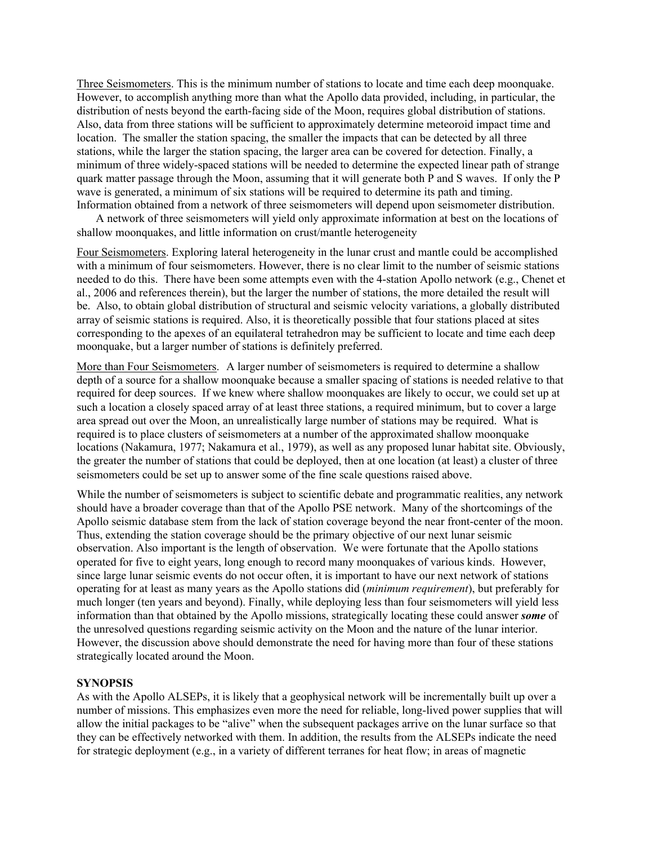Three Seismometers. This is the minimum number of stations to locate and time each deep moonquake. However, to accomplish anything more than what the Apollo data provided, including, in particular, the distribution of nests beyond the earth-facing side of the Moon, requires global distribution of stations. Also, data from three stations will be sufficient to approximately determine meteoroid impact time and location. The smaller the station spacing, the smaller the impacts that can be detected by all three stations, while the larger the station spacing, the larger area can be covered for detection. Finally, a minimum of three widely-spaced stations will be needed to determine the expected linear path of strange quark matter passage through the Moon, assuming that it will generate both P and S waves. If only the P wave is generated, a minimum of six stations will be required to determine its path and timing. Information obtained from a network of three seismometers will depend upon seismometer distribution.

A network of three seismometers will yield only approximate information at best on the locations of shallow moonquakes, and little information on crust/mantle heterogeneity

Four Seismometers. Exploring lateral heterogeneity in the lunar crust and mantle could be accomplished with a minimum of four seismometers. However, there is no clear limit to the number of seismic stations needed to do this. There have been some attempts even with the 4-station Apollo network (e.g., Chenet et al., 2006 and references therein), but the larger the number of stations, the more detailed the result will be. Also, to obtain global distribution of structural and seismic velocity variations, a globally distributed array of seismic stations is required. Also, it is theoretically possible that four stations placed at sites corresponding to the apexes of an equilateral tetrahedron may be sufficient to locate and time each deep moonquake, but a larger number of stations is definitely preferred.

More than Four Seismometers. A larger number of seismometers is required to determine a shallow depth of a source for a shallow moonquake because a smaller spacing of stations is needed relative to that required for deep sources. If we knew where shallow moonquakes are likely to occur, we could set up at such a location a closely spaced array of at least three stations, a required minimum, but to cover a large area spread out over the Moon, an unrealistically large number of stations may be required. What is required is to place clusters of seismometers at a number of the approximated shallow moonquake locations (Nakamura, 1977; Nakamura et al., 1979), as well as any proposed lunar habitat site. Obviously, the greater the number of stations that could be deployed, then at one location (at least) a cluster of three seismometers could be set up to answer some of the fine scale questions raised above.

While the number of seismometers is subject to scientific debate and programmatic realities, any network should have a broader coverage than that of the Apollo PSE network. Many of the shortcomings of the Apollo seismic database stem from the lack of station coverage beyond the near front-center of the moon. Thus, extending the station coverage should be the primary objective of our next lunar seismic observation. Also important is the length of observation. We were fortunate that the Apollo stations operated for five to eight years, long enough to record many moonquakes of various kinds. However, since large lunar seismic events do not occur often, it is important to have our next network of stations operating for at least as many years as the Apollo stations did (*minimum requirement*), but preferably for much longer (ten years and beyond). Finally, while deploying less than four seismometers will yield less information than that obtained by the Apollo missions, strategically locating these could answer *some* of the unresolved questions regarding seismic activity on the Moon and the nature of the lunar interior. However, the discussion above should demonstrate the need for having more than four of these stations strategically located around the Moon.

#### **SYNOPSIS**

As with the Apollo ALSEPs, it is likely that a geophysical network will be incrementally built up over a number of missions. This emphasizes even more the need for reliable, long-lived power supplies that will allow the initial packages to be "alive" when the subsequent packages arrive on the lunar surface so that they can be effectively networked with them. In addition, the results from the ALSEPs indicate the need for strategic deployment (e.g., in a variety of different terranes for heat flow; in areas of magnetic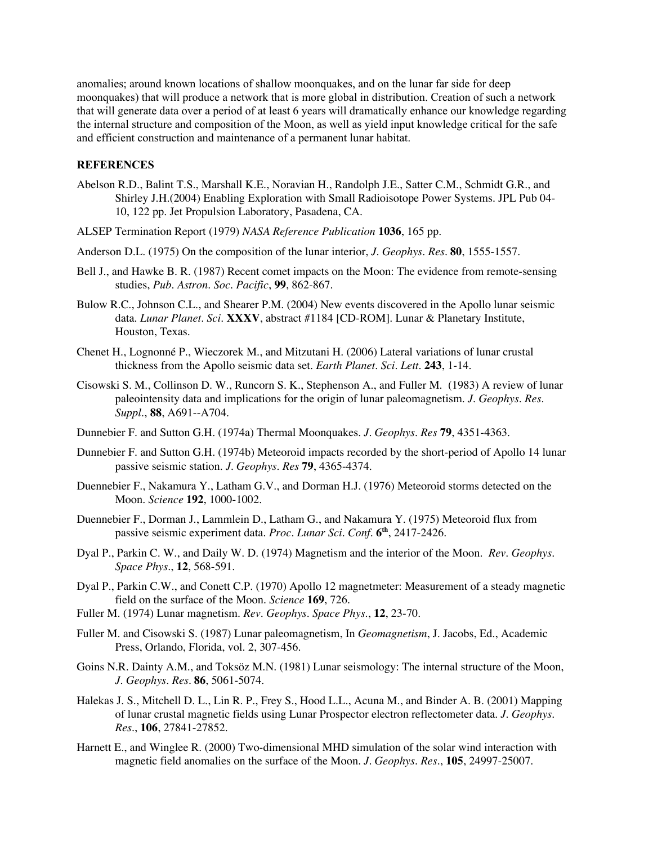anomalies; around known locations of shallow moonquakes, and on the lunar far side for deep moonquakes) that will produce a network that is more global in distribution. Creation of such a network that will generate data over a period of at least 6 years will dramatically enhance our knowledge regarding the internal structure and composition of the Moon, as well as yield input knowledge critical for the safe and efficient construction and maintenance of a permanent lunar habitat.

# **REFERENCES**

- Abelson R.D., Balint T.S., Marshall K.E., Noravian H., Randolph J.E., Satter C.M., Schmidt G.R., and Shirley J.H.(2004) Enabling Exploration with Small Radioisotope Power Systems. JPL Pub 04- 10, 122 pp. Jet Propulsion Laboratory, Pasadena, CA.
- ALSEP Termination Report (1979) *NASA Reference Publication* **1036**, 165 pp.
- Anderson D.L. (1975) On the composition of the lunar interior, *J. Geophys. Res.* **80**, 1555-1557.
- Bell J., and Hawke B. R. (1987) Recent comet impacts on the Moon: The evidence from remote-sensing studies, *Pub. Astron. Soc. Pacific*, **99**, 862-867.
- Bulow R.C., Johnson C.L., and Shearer P.M. (2004) New events discovered in the Apollo lunar seismic data. *Lunar Planet. Sci*. **XXXV**, abstract #1184 [CD-ROM]. Lunar & Planetary Institute, Houston, Texas.
- Chenet H., Lognonné P., Wieczorek M., and Mitzutani H. (2006) Lateral variations of lunar crustal thickness from the Apollo seismic data set. *Earth Planet. Sci. Lett*. **243**, 1-14.
- Cisowski S. M., Collinson D. W., Runcorn S. K., Stephenson A., and Fuller M. (1983) A review of lunar paleointensity data and implications for the origin of lunar paleomagnetism*. J. Geophys. Res. Suppl*., **88**, A691--A704.
- Dunnebier F. and Sutton G.H. (1974a) Thermal Moonquakes. *J. Geophys. Res* **79**, 4351-4363.
- Dunnebier F. and Sutton G.H. (1974b) Meteoroid impacts recorded by the short-period of Apollo 14 lunar passive seismic station. *J. Geophys. Res* **79**, 4365-4374.
- Duennebier F., Nakamura Y., Latham G.V., and Dorman H.J. (1976) Meteoroid storms detected on the Moon. *Science* **192**, 1000-1002.
- Duennebier F., Dorman J., Lammlein D., Latham G., and Nakamura Y. (1975) Meteoroid flux from passive seismic experiment data. *Proc. Lunar Sci. Conf*. **6th**, 2417-2426.
- Dyal P., Parkin C. W., and Daily W. D. (1974) Magnetism and the interior of the Moon. *Rev. Geophys. Space Phys.*, **12**, 568-591.
- Dyal P., Parkin C.W., and Conett C.P. (1970) Apollo 12 magnetmeter: Measurement of a steady magnetic field on the surface of the Moon. *Science* **169**, 726.
- Fuller M. (1974) Lunar magnetism. *Rev. Geophys. Space Phys*., **12**, 23-70.
- Fuller M. and Cisowski S. (1987) Lunar paleomagnetism, In *Geomagnetism*, J. Jacobs, Ed., Academic Press, Orlando, Florida, vol. 2, 307-456.
- Goins N.R. Dainty A.M., and Toksöz M.N. (1981) Lunar seismology: The internal structure of the Moon, *J. Geophys. Res.* **86**, 5061-5074.
- Halekas J. S., Mitchell D. L., Lin R. P., Frey S., Hood L.L., Acuna M., and Binder A. B. (2001) Mapping of lunar crustal magnetic fields using Lunar Prospector electron reflectometer data. *J. Geophys. Res*., **106**, 27841-27852.
- Harnett E., and Winglee R. (2000) Two-dimensional MHD simulation of the solar wind interaction with magnetic field anomalies on the surface of the Moon. *J. Geophys. Res.*, **105**, 24997-25007.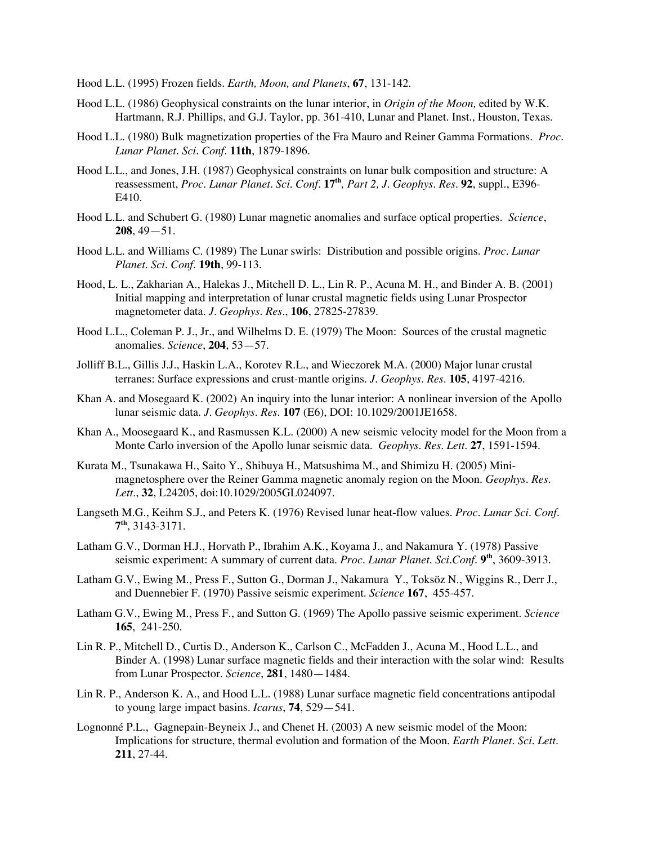Hood L.L. (1995) Frozen fields. *Earth, Moon, and Planets*, **67**, 131-142.

- Hood L.L. (1986) Geophysical constraints on the lunar interior, in *Origin of the Moon,* edited by W.K. Hartmann, R.J. Phillips, and G.J. Taylor, pp. 361-410, Lunar and Planet. Inst., Houston, Texas.
- Hood L.L. (1980) Bulk magnetization properties of the Fra Mauro and Reiner Gamma Formations. *Proc. Lunar Planet. Sci. Conf*. **11th**, 1879-1896.
- Hood L.L., and Jones, J.H. (1987) Geophysical constraints on lunar bulk composition and structure: A reassessment, *Proc. Lunar Planet. Sci. Conf.* **17th***, Part 2, J. Geophys. Res.* **92**, suppl., E396- E410.
- Hood L.L. and Schubert G. (1980) Lunar magnetic anomalies and surface optical properties. *Science*, **208**, 49—51.
- Hood L.L. and Williams C. (1989) The Lunar swirls: Distribution and possible origins. *Proc. Lunar Planet. Sci. Conf.* **19th**, 99-113.
- Hood, L. L., Zakharian A., Halekas J., Mitchell D. L., Lin R. P., Acuna M. H., and Binder A. B. (2001) Initial mapping and interpretation of lunar crustal magnetic fields using Lunar Prospector magnetometer data. *J. Geophys. Res.*, **106**, 27825-27839.
- Hood L.L., Coleman P. J., Jr., and Wilhelms D. E. (1979) The Moon: Sources of the crustal magnetic anomalies. *Science*, **204**, 53—57.
- Jolliff B.L., Gillis J.J., Haskin L.A., Korotev R.L., and Wieczorek M.A. (2000) Major lunar crustal terranes: Surface expressions and crust-mantle origins. *J. Geophys. Res*. **105**, 4197-4216.
- Khan A. and Mosegaard K. (2002) An inquiry into the lunar interior: A nonlinear inversion of the Apollo lunar seismic data. *J. Geophys. Res*. **107** (E6), DOI: 10.1029/2001JE1658.
- Khan A., Moosegaard K., and Rasmussen K.L. (2000) A new seismic velocity model for the Moon from a Monte Carlo inversion of the Apollo lunar seismic data. *Geophys. Res. Lett*. **27**, 1591-1594.
- Kurata M., Tsunakawa H., Saito Y., Shibuya H., Matsushima M., and Shimizu H. (2005) Minimagnetosphere over the Reiner Gamma magnetic anomaly region on the Moon. *Geophys. Res. Lett*., **32**, L24205, doi:10.1029/2005GL024097.
- Langseth M.G., Keihm S.J., and Peters K. (1976) Revised lunar heat-flow values. *Proc. Lunar Sci. Conf*. **7th**, 3143-3171.
- Latham G.V., Dorman H.J., Horvath P., Ibrahim A.K., Koyama J., and Nakamura Y. (1978) Passive seismic experiment: A summary of current data. *Proc. Lunar Planet. Sci.Conf*. **9th**, 3609-3913.
- Latham G.V., Ewing M., Press F., Sutton G., Dorman J., Nakamura Y., Toksöz N., Wiggins R., Derr J., and Duennebier F. (1970) Passive seismic experiment. *Science* **167**, 455-457.
- Latham G.V., Ewing M., Press F., and Sutton G. (1969) The Apollo passive seismic experiment. *Science* **165**, 241-250.
- Lin R. P., Mitchell D., Curtis D., Anderson K., Carlson C., McFadden J., Acuna M., Hood L.L., and Binder A. (1998) Lunar surface magnetic fields and their interaction with the solar wind: Results from Lunar Prospector. *Science*, **281**, 1480—1484.
- Lin R. P., Anderson K. A., and Hood L.L. (1988) Lunar surface magnetic field concentrations antipodal to young large impact basins. *Icarus*, **74**, 529—541.
- Lognonné P.L., Gagnepain-Beyneix J., and Chenet H. (2003) A new seismic model of the Moon: Implications for structure, thermal evolution and formation of the Moon. *Earth Planet. Sci. Lett*. **211**, 27-44.